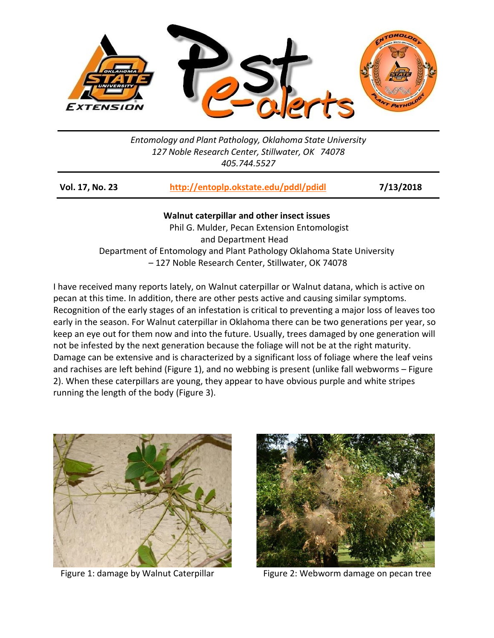

*Entomology and Plant Pathology, Oklahoma State University 127 Noble Research Center, Stillwater, OK 74078 405.744.5527*

| <b>Vol. 17, No. 23</b> | http://entoplp.okstate.edu/pddl/pdidl | 7/13/2018 |
|------------------------|---------------------------------------|-----------|
|                        |                                       |           |

**Walnut caterpillar and other insect issues** Phil G. Mulder, Pecan Extension Entomologist and Department Head Department of Entomology and Plant Pathology Oklahoma State University – 127 Noble Research Center, Stillwater, OK 74078

I have received many reports lately, on Walnut caterpillar or Walnut datana, which is active on pecan at this time. In addition, there are other pests active and causing similar symptoms. Recognition of the early stages of an infestation is critical to preventing a major loss of leaves too early in the season. For Walnut caterpillar in Oklahoma there can be two generations per year, so keep an eye out for them now and into the future. Usually, trees damaged by one generation will not be infested by the next generation because the foliage will not be at the right maturity. Damage can be extensive and is characterized by a significant loss of foliage where the leaf veins and rachises are left behind (Figure 1), and no webbing is present (unlike fall webworms – Figure 2). When these caterpillars are young, they appear to have obvious purple and white stripes running the length of the body (Figure 3).





Figure 1: damage by Walnut Caterpillar Figure 2: Webworm damage on pecan tree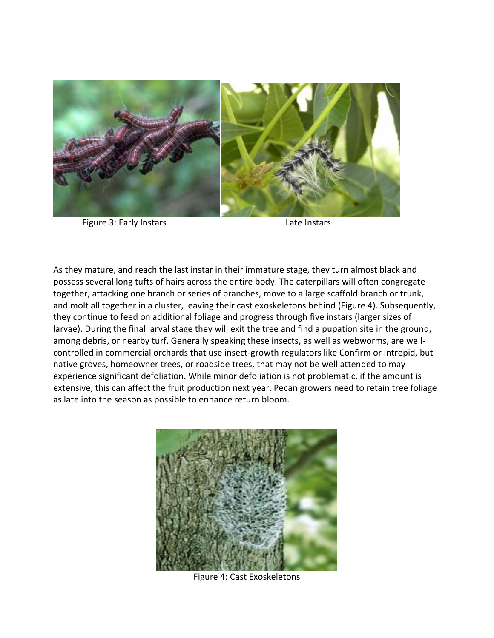

Figure 3: Early Instars **East Communist Contract Contract Contract Contract Contract Contract Contract Contract Contract Contract Contract Contract Contract Contract Contract Contract Contract Contract Contract Contract Co** 

As they mature, and reach the last instar in their immature stage, they turn almost black and possess several long tufts of hairs across the entire body. The caterpillars will often congregate together, attacking one branch or series of branches, move to a large scaffold branch or trunk, and molt all together in a cluster, leaving their cast exoskeletons behind (Figure 4). Subsequently, they continue to feed on additional foliage and progress through five instars (larger sizes of larvae). During the final larval stage they will exit the tree and find a pupation site in the ground, among debris, or nearby turf. Generally speaking these insects, as well as webworms, are wellcontrolled in commercial orchards that use insect-growth regulators like Confirm or Intrepid, but native groves, homeowner trees, or roadside trees, that may not be well attended to may experience significant defoliation. While minor defoliation is not problematic, if the amount is extensive, this can affect the fruit production next year. Pecan growers need to retain tree foliage as late into the season as possible to enhance return bloom.



Figure 4: Cast Exoskeletons